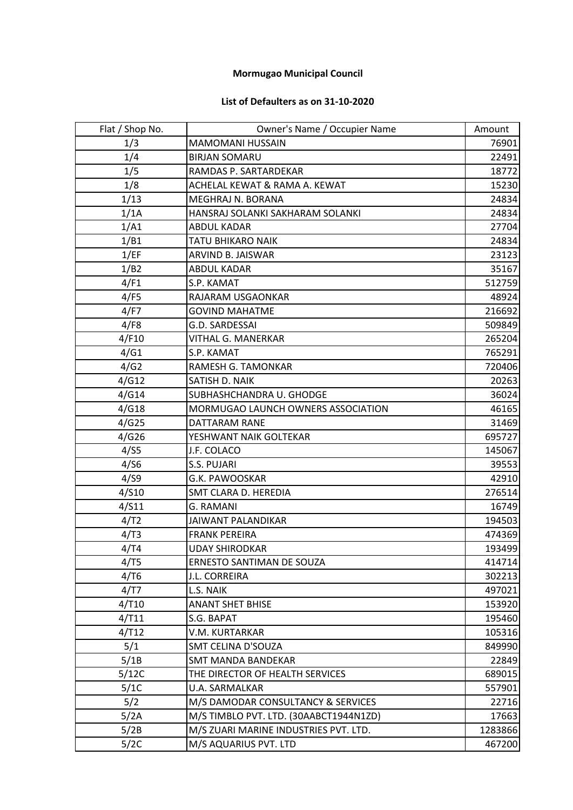## **Mormugao Municipal Council**

## **List of Defaulters as on 31-10-2020**

| Flat / Shop No. | Owner's Name / Occupier Name           | Amount  |
|-----------------|----------------------------------------|---------|
| 1/3             | <b>MAMOMANI HUSSAIN</b>                | 76901   |
| 1/4             | <b>BIRJAN SOMARU</b>                   | 22491   |
| 1/5             | RAMDAS P. SARTARDEKAR                  | 18772   |
| 1/8             | ACHELAL KEWAT & RAMA A. KEWAT          | 15230   |
| 1/13            | MEGHRAJ N. BORANA                      | 24834   |
| 1/1A            | HANSRAJ SOLANKI SAKHARAM SOLANKI       | 24834   |
| 1/A1            | <b>ABDUL KADAR</b>                     | 27704   |
| 1/B1            | TATU BHIKARO NAIK                      | 24834   |
| 1/EF            | ARVIND B. JAISWAR                      | 23123   |
| 1/B2            | <b>ABDUL KADAR</b>                     | 35167   |
| 4/F1            | S.P. KAMAT                             | 512759  |
| 4/F5            | RAJARAM USGAONKAR                      | 48924   |
| 4/F7            | <b>GOVIND MAHATME</b>                  | 216692  |
| 4/F8            | G.D. SARDESSAI                         | 509849  |
| 4/F10           | <b>VITHAL G. MANERKAR</b>              | 265204  |
| 4/G1            | S.P. KAMAT                             | 765291  |
| 4/G2            | RAMESH G. TAMONKAR                     | 720406  |
| 4/G12           | SATISH D. NAIK                         | 20263   |
| 4/G14           | SUBHASHCHANDRA U. GHODGE               | 36024   |
| 4/G18           | MORMUGAO LAUNCH OWNERS ASSOCIATION     | 46165   |
| 4/G25           | <b>DATTARAM RANE</b>                   | 31469   |
| 4/G26           | YESHWANT NAIK GOLTEKAR                 | 695727  |
| 4/55            | J.F. COLACO                            | 145067  |
| 4/56            | S.S. PUJARI                            | 39553   |
| 4/59            | G.K. PAWOOSKAR                         | 42910   |
| 4/S10           | SMT CLARA D. HEREDIA                   | 276514  |
| 4/511           | G. RAMANI                              | 16749   |
| 4/T2            | <b>JAIWANT PALANDIKAR</b>              | 194503  |
| 4/T3            | <b>FRANK PEREIRA</b>                   | 474369  |
| 4/T4            | <b>UDAY SHIRODKAR</b>                  | 193499  |
| 4/T5            | ERNESTO SANTIMAN DE SOUZA              | 414714  |
| 4/T6            | J.L. CORREIRA                          | 302213  |
| 4/T7            | L.S. NAIK                              | 497021  |
| 4/T10           | <b>ANANT SHET BHISE</b>                | 153920  |
| 4/T11           | S.G. BAPAT                             | 195460  |
| 4/T12           | V.M. KURTARKAR                         | 105316  |
| 5/1             | <b>SMT CELINA D'SOUZA</b>              | 849990  |
| 5/1B            | <b>SMT MANDA BANDEKAR</b>              | 22849   |
| 5/12C           | THE DIRECTOR OF HEALTH SERVICES        | 689015  |
| 5/1C            | U.A. SARMALKAR                         | 557901  |
| 5/2             | M/S DAMODAR CONSULTANCY & SERVICES     | 22716   |
| 5/2A            | M/S TIMBLO PVT. LTD. (30AABCT1944N1ZD) | 17663   |
| 5/2B            | M/S ZUARI MARINE INDUSTRIES PVT. LTD.  | 1283866 |
| 5/2C            | M/S AQUARIUS PVT. LTD                  | 467200  |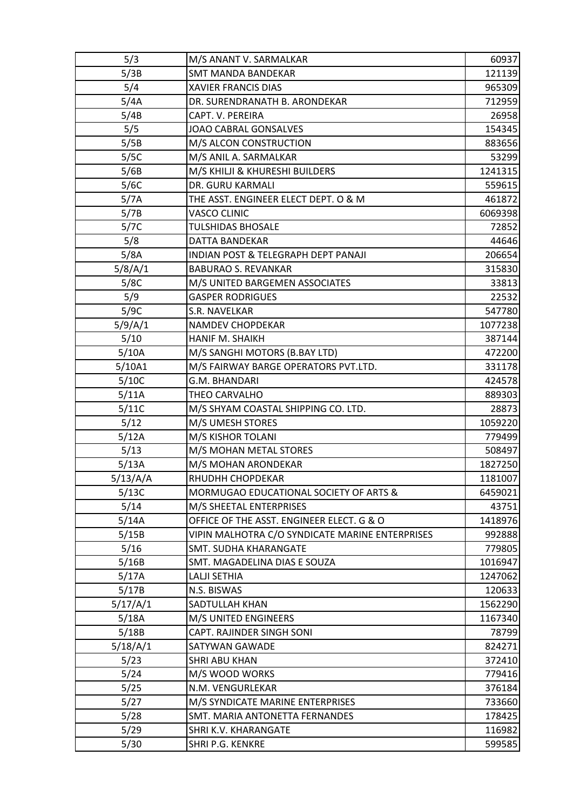| 5/3      | M/S ANANT V. SARMALKAR                          | 60937   |
|----------|-------------------------------------------------|---------|
| 5/3B     | <b>SMT MANDA BANDEKAR</b>                       | 121139  |
| 5/4      | <b>XAVIER FRANCIS DIAS</b>                      | 965309  |
| 5/4A     | DR. SURENDRANATH B. ARONDEKAR                   | 712959  |
| 5/4B     | CAPT. V. PEREIRA                                | 26958   |
| 5/5      | JOAO CABRAL GONSALVES                           | 154345  |
| 5/5B     | M/S ALCON CONSTRUCTION                          | 883656  |
| 5/5C     | M/S ANIL A. SARMALKAR                           | 53299   |
| 5/6B     | M/S KHILJI & KHURESHI BUILDERS                  | 1241315 |
| 5/6C     | DR. GURU KARMALI                                | 559615  |
| 5/7A     | THE ASST. ENGINEER ELECT DEPT. O & M            | 461872  |
| 5/7B     | <b>VASCO CLINIC</b>                             | 6069398 |
| 5/7C     | <b>TULSHIDAS BHOSALE</b>                        | 72852   |
| 5/8      | <b>DATTA BANDEKAR</b>                           | 44646   |
| 5/8A     | INDIAN POST & TELEGRAPH DEPT PANAJI             | 206654  |
| 5/8/A/1  | <b>BABURAO S. REVANKAR</b>                      | 315830  |
| 5/8C     | M/S UNITED BARGEMEN ASSOCIATES                  | 33813   |
| 5/9      | <b>GASPER RODRIGUES</b>                         | 22532   |
| 5/9C     | S.R. NAVELKAR                                   | 547780  |
| 5/9/A/1  | <b>NAMDEV CHOPDEKAR</b>                         | 1077238 |
| 5/10     | HANIF M. SHAIKH                                 | 387144  |
| 5/10A    | M/S SANGHI MOTORS (B.BAY LTD)                   | 472200  |
| 5/10A1   | M/S FAIRWAY BARGE OPERATORS PVT.LTD.            | 331178  |
| 5/10C    | <b>G.M. BHANDARI</b>                            | 424578  |
| 5/11A    | THEO CARVALHO                                   | 889303  |
| 5/11C    | M/S SHYAM COASTAL SHIPPING CO. LTD.             | 28873   |
| 5/12     | M/S UMESH STORES                                | 1059220 |
| 5/12A    | M/S KISHOR TOLANI                               | 779499  |
| 5/13     | M/S MOHAN METAL STORES                          | 508497  |
| 5/13A    | M/S MOHAN ARONDEKAR                             | 1827250 |
| 5/13/A/A | RHUDHH CHOPDEKAR                                | 1181007 |
| 5/13C    | MORMUGAO EDUCATIONAL SOCIETY OF ARTS &          | 6459021 |
| 5/14     | M/S SHEETAL ENTERPRISES                         | 43751   |
| 5/14A    | OFFICE OF THE ASST. ENGINEER ELECT. G & O       | 1418976 |
| 5/15B    | VIPIN MALHOTRA C/O SYNDICATE MARINE ENTERPRISES | 992888  |
| $5/16$   | SMT. SUDHA KHARANGATE                           | 779805  |
| 5/16B    | SMT. MAGADELINA DIAS E SOUZA                    | 1016947 |
| 5/17A    | <b>LALJI SETHIA</b>                             | 1247062 |
| 5/17B    | N.S. BISWAS                                     | 120633  |
| 5/17/A/1 | SADTULLAH KHAN                                  | 1562290 |
| 5/18A    | M/S UNITED ENGINEERS                            | 1167340 |
| 5/18B    | CAPT. RAJINDER SINGH SONI                       | 78799   |
| 5/18/A/1 | SATYWAN GAWADE                                  | 824271  |
| 5/23     | <b>SHRI ABU KHAN</b>                            | 372410  |
| 5/24     | M/S WOOD WORKS                                  | 779416  |
| 5/25     | N.M. VENGURLEKAR                                | 376184  |
| 5/27     | M/S SYNDICATE MARINE ENTERPRISES                | 733660  |
| 5/28     | SMT. MARIA ANTONETTA FERNANDES                  | 178425  |
| 5/29     | SHRI K.V. KHARANGATE                            | 116982  |
| 5/30     | SHRI P.G. KENKRE                                | 599585  |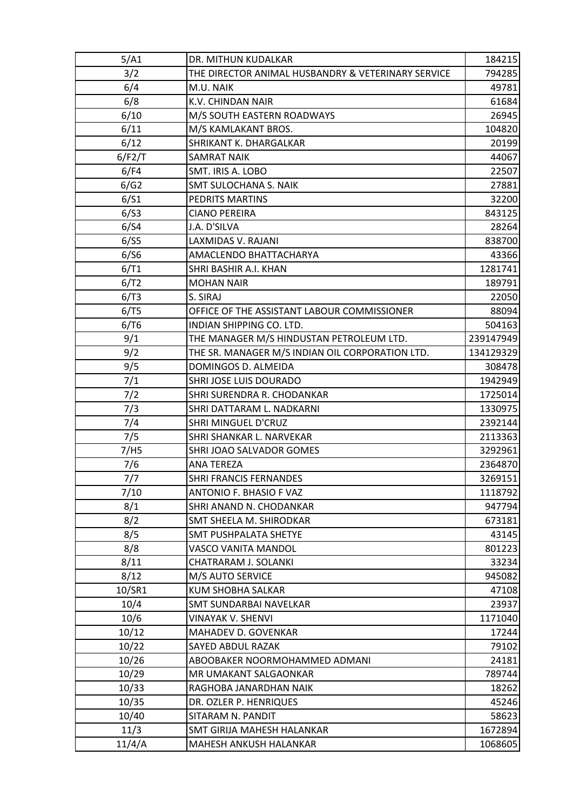| 5/A1   | DR. MITHUN KUDALKAR                                | 184215    |
|--------|----------------------------------------------------|-----------|
| 3/2    | THE DIRECTOR ANIMAL HUSBANDRY & VETERINARY SERVICE | 794285    |
| 6/4    | M.U. NAIK                                          | 49781     |
| 6/8    | K.V. CHINDAN NAIR                                  | 61684     |
| 6/10   | M/S SOUTH EASTERN ROADWAYS                         | 26945     |
| 6/11   | M/S KAMLAKANT BROS.                                | 104820    |
| 6/12   | SHRIKANT K. DHARGALKAR                             | 20199     |
| 6/F2/T | <b>SAMRAT NAIK</b>                                 | 44067     |
| 6/F4   | SMT. IRIS A. LOBO                                  | 22507     |
| 6/G2   | <b>SMT SULOCHANA S. NAIK</b>                       | 27881     |
| 6/51   | PEDRITS MARTINS                                    | 32200     |
| 6/53   | <b>CIANO PEREIRA</b>                               | 843125    |
| 6/54   | J.A. D'SILVA                                       | 28264     |
| 6/55   | LAXMIDAS V. RAJANI                                 | 838700    |
| 6/56   | AMACLENDO BHATTACHARYA                             | 43366     |
| 6/T1   | SHRI BASHIR A.I. KHAN                              | 1281741   |
| 6/T2   | <b>MOHAN NAIR</b>                                  | 189791    |
| 6/T3   | S. SIRAJ                                           | 22050     |
| 6/T5   | OFFICE OF THE ASSISTANT LABOUR COMMISSIONER        | 88094     |
| 6/T6   | INDIAN SHIPPING CO. LTD.                           | 504163    |
| 9/1    | THE MANAGER M/S HINDUSTAN PETROLEUM LTD.           | 239147949 |
| 9/2    | THE SR. MANAGER M/S INDIAN OIL CORPORATION LTD.    | 134129329 |
| 9/5    | DOMINGOS D. ALMEIDA                                | 308478    |
| 7/1    | SHRI JOSE LUIS DOURADO                             | 1942949   |
| 7/2    | SHRI SURENDRA R. CHODANKAR                         | 1725014   |
| 7/3    | SHRI DATTARAM L. NADKARNI                          | 1330975   |
| 7/4    | <b>SHRI MINGUEL D'CRUZ</b>                         | 2392144   |
| 7/5    | SHRI SHANKAR L. NARVEKAR                           | 2113363   |
| 7/H5   | SHRI JOAO SALVADOR GOMES                           | 3292961   |
| 7/6    | <b>ANA TEREZA</b>                                  | 2364870   |
| 7/7    | <b>SHRI FRANCIS FERNANDES</b>                      | 3269151   |
| 7/10   | <b>ANTONIO F. BHASIO F VAZ</b>                     | 1118792   |
| 8/1    | SHRI ANAND N. CHODANKAR                            | 947794    |
| 8/2    | SMT SHEELA M. SHIRODKAR                            | 673181    |
| 8/5    | <b>SMT PUSHPALATA SHETYE</b>                       | 43145     |
| 8/8    | VASCO VANITA MANDOL                                | 801223    |
| 8/11   | CHATRARAM J. SOLANKI                               | 33234     |
| 8/12   | M/S AUTO SERVICE                                   | 945082    |
| 10/SR1 | <b>KUM SHOBHA SALKAR</b>                           | 47108     |
| 10/4   | <b>SMT SUNDARBAI NAVELKAR</b>                      | 23937     |
| 10/6   | VINAYAK V. SHENVI                                  | 1171040   |
| 10/12  | MAHADEV D. GOVENKAR                                | 17244     |
| 10/22  | <b>SAYED ABDUL RAZAK</b>                           | 79102     |
| 10/26  | ABOOBAKER NOORMOHAMMED ADMANI                      | 24181     |
| 10/29  | MR UMAKANT SALGAONKAR                              | 789744    |
| 10/33  | RAGHOBA JANARDHAN NAIK                             | 18262     |
| 10/35  | DR. OZLER P. HENRIQUES                             | 45246     |
| 10/40  | SITARAM N. PANDIT                                  | 58623     |
| 11/3   | SMT GIRIJA MAHESH HALANKAR                         | 1672894   |
| 11/4/A | MAHESH ANKUSH HALANKAR                             | 1068605   |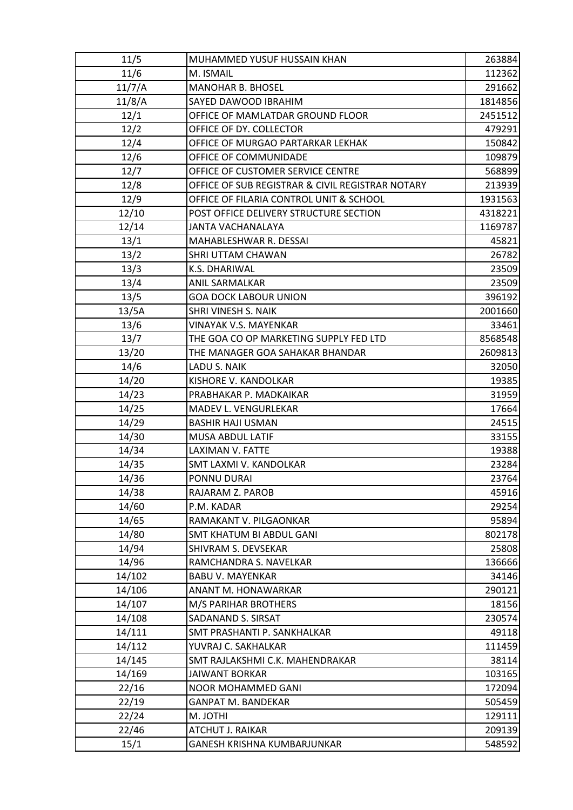| 11/5   | MUHAMMED YUSUF HUSSAIN KHAN                      | 263884  |
|--------|--------------------------------------------------|---------|
| 11/6   | M. ISMAIL                                        | 112362  |
| 11/7/A | <b>MANOHAR B. BHOSEL</b>                         | 291662  |
| 11/8/A | SAYED DAWOOD IBRAHIM                             | 1814856 |
| 12/1   | OFFICE OF MAMLATDAR GROUND FLOOR                 | 2451512 |
| 12/2   | OFFICE OF DY. COLLECTOR                          | 479291  |
| 12/4   | OFFICE OF MURGAO PARTARKAR LEKHAK                | 150842  |
| 12/6   | OFFICE OF COMMUNIDADE                            | 109879  |
| 12/7   | OFFICE OF CUSTOMER SERVICE CENTRE                | 568899  |
| 12/8   | OFFICE OF SUB REGISTRAR & CIVIL REGISTRAR NOTARY | 213939  |
| 12/9   | OFFICE OF FILARIA CONTROL UNIT & SCHOOL          | 1931563 |
| 12/10  | POST OFFICE DELIVERY STRUCTURE SECTION           | 4318221 |
| 12/14  | JANTA VACHANALAYA                                | 1169787 |
| 13/1   | MAHABLESHWAR R. DESSAI                           | 45821   |
| 13/2   | SHRI UTTAM CHAWAN                                | 26782   |
| 13/3   | K.S. DHARIWAL                                    | 23509   |
| 13/4   | <b>ANIL SARMALKAR</b>                            | 23509   |
| 13/5   | <b>GOA DOCK LABOUR UNION</b>                     | 396192  |
| 13/5A  | <b>SHRI VINESH S. NAIK</b>                       | 2001660 |
| 13/6   | <b>VINAYAK V.S. MAYENKAR</b>                     | 33461   |
| 13/7   | THE GOA CO OP MARKETING SUPPLY FED LTD           | 8568548 |
| 13/20  | THE MANAGER GOA SAHAKAR BHANDAR                  | 2609813 |
| 14/6   | LADU S. NAIK                                     | 32050   |
| 14/20  | KISHORE V. KANDOLKAR                             | 19385   |
| 14/23  | PRABHAKAR P. MADKAIKAR                           | 31959   |
| 14/25  | MADEV L. VENGURLEKAR                             | 17664   |
| 14/29  | <b>BASHIR HAJI USMAN</b>                         | 24515   |
| 14/30  | <b>MUSA ABDUL LATIF</b>                          | 33155   |
| 14/34  | LAXIMAN V. FATTE                                 | 19388   |
| 14/35  | SMT LAXMI V. KANDOLKAR                           | 23284   |
| 14/36  | PONNU DURAI                                      | 23764   |
| 14/38  | RAJARAM Z. PAROB                                 | 45916   |
| 14/60  | P.M. KADAR                                       | 29254   |
| 14/65  | RAMAKANT V. PILGAONKAR                           | 95894   |
| 14/80  | <b>SMT KHATUM BI ABDUL GANI</b>                  | 802178  |
| 14/94  | SHIVRAM S. DEVSEKAR                              | 25808   |
| 14/96  | RAMCHANDRA S. NAVELKAR                           | 136666  |
| 14/102 | <b>BABU V. MAYENKAR</b>                          | 34146   |
| 14/106 | ANANT M. HONAWARKAR                              | 290121  |
| 14/107 | M/S PARIHAR BROTHERS                             | 18156   |
| 14/108 | SADANAND S. SIRSAT                               | 230574  |
| 14/111 | SMT PRASHANTI P. SANKHALKAR                      | 49118   |
| 14/112 | YUVRAJ C. SAKHALKAR                              | 111459  |
| 14/145 | SMT RAJLAKSHMI C.K. MAHENDRAKAR                  | 38114   |
| 14/169 | <b>JAIWANT BORKAR</b>                            | 103165  |
| 22/16  | <b>NOOR MOHAMMED GANI</b>                        | 172094  |
| 22/19  | <b>GANPAT M. BANDEKAR</b>                        | 505459  |
| 22/24  | M. JOTHI                                         | 129111  |
| 22/46  | ATCHUT J. RAIKAR                                 | 209139  |
| 15/1   | GANESH KRISHNA KUMBARJUNKAR                      | 548592  |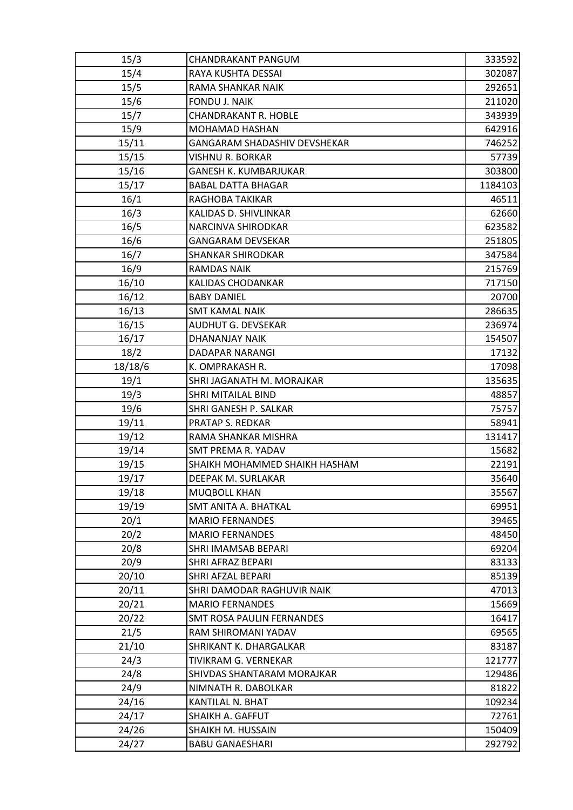| 15/3    | <b>CHANDRAKANT PANGUM</b>           | 333592  |
|---------|-------------------------------------|---------|
| 15/4    | RAYA KUSHTA DESSAI                  | 302087  |
| 15/5    | RAMA SHANKAR NAIK                   | 292651  |
| 15/6    | FONDU J. NAIK                       | 211020  |
| 15/7    | <b>CHANDRAKANT R. HOBLE</b>         | 343939  |
| 15/9    | <b>MOHAMAD HASHAN</b>               | 642916  |
| 15/11   | <b>GANGARAM SHADASHIV DEVSHEKAR</b> | 746252  |
| 15/15   | <b>VISHNU R. BORKAR</b>             | 57739   |
| 15/16   | <b>GANESH K. KUMBARJUKAR</b>        | 303800  |
| 15/17   | <b>BABAL DATTA BHAGAR</b>           | 1184103 |
| 16/1    | RAGHOBA TAKIKAR                     | 46511   |
| 16/3    | KALIDAS D. SHIVLINKAR               | 62660   |
| 16/5    | NARCINVA SHIRODKAR                  | 623582  |
| 16/6    | <b>GANGARAM DEVSEKAR</b>            | 251805  |
| 16/7    | <b>SHANKAR SHIRODKAR</b>            | 347584  |
| 16/9    | <b>RAMDAS NAIK</b>                  | 215769  |
| 16/10   | <b>KALIDAS CHODANKAR</b>            | 717150  |
| 16/12   | <b>BABY DANIEL</b>                  | 20700   |
| 16/13   | <b>SMT KAMAL NAIK</b>               | 286635  |
| 16/15   | <b>AUDHUT G. DEVSEKAR</b>           | 236974  |
| 16/17   | <b>DHANANJAY NAIK</b>               | 154507  |
| 18/2    | DADAPAR NARANGI                     | 17132   |
| 18/18/6 | K. OMPRAKASH R.                     | 17098   |
| 19/1    | SHRI JAGANATH M. MORAJKAR           | 135635  |
| 19/3    | <b>SHRI MITAILAL BIND</b>           | 48857   |
| 19/6    | SHRI GANESH P. SALKAR               | 75757   |
| 19/11   | PRATAP S. REDKAR                    | 58941   |
| 19/12   | RAMA SHANKAR MISHRA                 | 131417  |
| 19/14   | SMT PREMA R. YADAV                  | 15682   |
| 19/15   | SHAIKH MOHAMMED SHAIKH HASHAM       | 22191   |
| 19/17   | DEEPAK M. SURLAKAR                  | 35640   |
| 19/18   | <b>MUQBOLL KHAN</b>                 | 35567   |
| 19/19   | <b>SMT ANITA A. BHATKAL</b>         | 69951   |
| 20/1    | <b>MARIO FERNANDES</b>              | 39465   |
| 20/2    | <b>MARIO FERNANDES</b>              | 48450   |
| 20/8    | SHRI IMAMSAB BEPARI                 | 69204   |
| 20/9    | SHRI AFRAZ BEPARI                   | 83133   |
| 20/10   | <b>SHRI AFZAL BEPARI</b>            | 85139   |
| 20/11   | SHRI DAMODAR RAGHUVIR NAIK          | 47013   |
| 20/21   | <b>MARIO FERNANDES</b>              | 15669   |
| 20/22   | <b>SMT ROSA PAULIN FERNANDES</b>    | 16417   |
| 21/5    | RAM SHIROMANI YADAV                 | 69565   |
| 21/10   | SHRIKANT K. DHARGALKAR              | 83187   |
| 24/3    | TIVIKRAM G. VERNEKAR                | 121777  |
| 24/8    | SHIVDAS SHANTARAM MORAJKAR          | 129486  |
| 24/9    | NIMNATH R. DABOLKAR                 | 81822   |
| 24/16   | KANTILAL N. BHAT                    | 109234  |
| 24/17   | SHAIKH A. GAFFUT                    | 72761   |
| 24/26   | SHAIKH M. HUSSAIN                   | 150409  |
| 24/27   | <b>BABU GANAESHARI</b>              | 292792  |